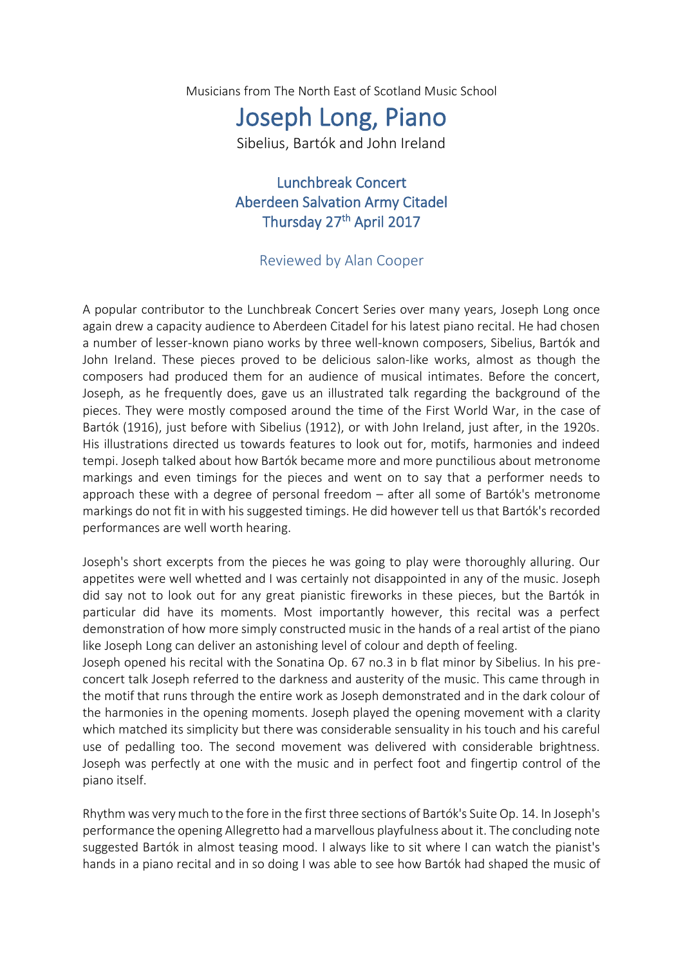Musicians from The North East of Scotland Music School

## Joseph Long, Piano

Sibelius, Bartók and John Ireland

Lunchbreak Concert Aberdeen Salvation Army Citadel Thursday 27<sup>th</sup> April 2017

## Reviewed by Alan Cooper

A popular contributor to the Lunchbreak Concert Series over many years, Joseph Long once again drew a capacity audience to Aberdeen Citadel for his latest piano recital. He had chosen a number of lesser-known piano works by three well-known composers, Sibelius, Bartók and John Ireland. These pieces proved to be delicious salon-like works, almost as though the composers had produced them for an audience of musical intimates. Before the concert, Joseph, as he frequently does, gave us an illustrated talk regarding the background of the pieces. They were mostly composed around the time of the First World War, in the case of Bartók (1916), just before with Sibelius (1912), or with John Ireland, just after, in the 1920s. His illustrations directed us towards features to look out for, motifs, harmonies and indeed tempi. Joseph talked about how Bartók became more and more punctilious about metronome markings and even timings for the pieces and went on to say that a performer needs to approach these with a degree of personal freedom – after all some of Bartók's metronome markings do not fit in with his suggested timings. He did however tell us that Bartók's recorded performances are well worth hearing.

Joseph's short excerpts from the pieces he was going to play were thoroughly alluring. Our appetites were well whetted and I was certainly not disappointed in any of the music. Joseph did say not to look out for any great pianistic fireworks in these pieces, but the Bartók in particular did have its moments. Most importantly however, this recital was a perfect demonstration of how more simply constructed music in the hands of a real artist of the piano like Joseph Long can deliver an astonishing level of colour and depth of feeling.

Joseph opened his recital with the Sonatina Op. 67 no.3 in b flat minor by Sibelius. In his preconcert talk Joseph referred to the darkness and austerity of the music. This came through in the motif that runs through the entire work as Joseph demonstrated and in the dark colour of the harmonies in the opening moments. Joseph played the opening movement with a clarity which matched its simplicity but there was considerable sensuality in his touch and his careful use of pedalling too. The second movement was delivered with considerable brightness. Joseph was perfectly at one with the music and in perfect foot and fingertip control of the piano itself.

Rhythm was very much to the fore in the first three sections of Bartók's Suite Op. 14. In Joseph's performance the opening Allegretto had a marvellous playfulness about it. The concluding note suggested Bartók in almost teasing mood. I always like to sit where I can watch the pianist's hands in a piano recital and in so doing I was able to see how Bartók had shaped the music of